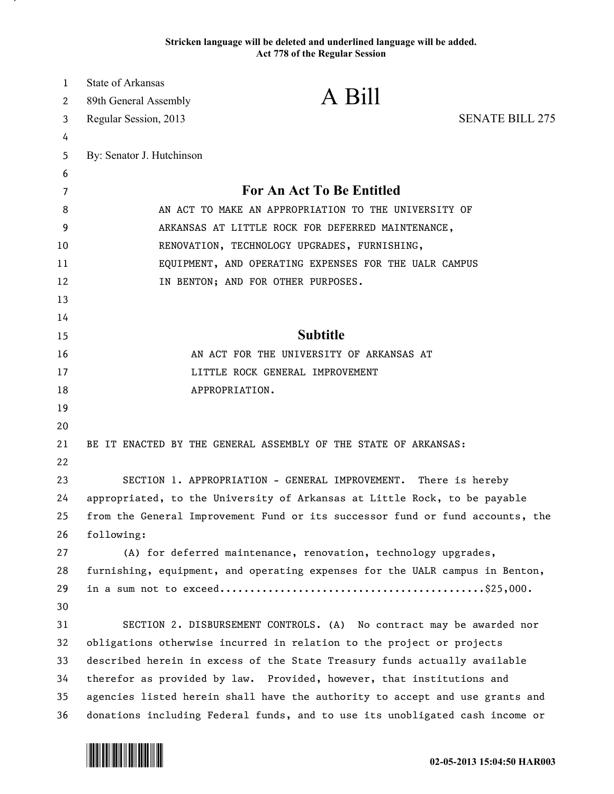## **Stricken language will be deleted and underlined language will be added. Act 778 of the Regular Session**

| 1  | <b>State of Arkansas</b>                                                     |                                                                               |                        |
|----|------------------------------------------------------------------------------|-------------------------------------------------------------------------------|------------------------|
| 2  | 89th General Assembly                                                        | A Bill                                                                        |                        |
| 3  | Regular Session, 2013                                                        |                                                                               | <b>SENATE BILL 275</b> |
| 4  |                                                                              |                                                                               |                        |
| 5  | By: Senator J. Hutchinson                                                    |                                                                               |                        |
| 6  |                                                                              |                                                                               |                        |
| 7  | For An Act To Be Entitled                                                    |                                                                               |                        |
| 8  | AN ACT TO MAKE AN APPROPRIATION TO THE UNIVERSITY OF                         |                                                                               |                        |
| 9  | ARKANSAS AT LITTLE ROCK FOR DEFERRED MAINTENANCE,                            |                                                                               |                        |
| 10 | RENOVATION, TECHNOLOGY UPGRADES, FURNISHING,                                 |                                                                               |                        |
| 11 | EQUIPMENT, AND OPERATING EXPENSES FOR THE UALR CAMPUS                        |                                                                               |                        |
| 12 | IN BENTON; AND FOR OTHER PURPOSES.                                           |                                                                               |                        |
| 13 |                                                                              |                                                                               |                        |
| 14 |                                                                              |                                                                               |                        |
| 15 | <b>Subtitle</b>                                                              |                                                                               |                        |
| 16 | AN ACT FOR THE UNIVERSITY OF ARKANSAS AT                                     |                                                                               |                        |
| 17 | LITTLE ROCK GENERAL IMPROVEMENT                                              |                                                                               |                        |
| 18 |                                                                              | APPROPRIATION.                                                                |                        |
| 19 |                                                                              |                                                                               |                        |
| 20 |                                                                              |                                                                               |                        |
| 21 |                                                                              | BE IT ENACTED BY THE GENERAL ASSEMBLY OF THE STATE OF ARKANSAS:               |                        |
| 22 |                                                                              |                                                                               |                        |
| 23 | SECTION 1. APPROPRIATION - GENERAL IMPROVEMENT.<br>There is hereby           |                                                                               |                        |
| 24 | appropriated, to the University of Arkansas at Little Rock, to be payable    |                                                                               |                        |
| 25 |                                                                              | from the General Improvement Fund or its successor fund or fund accounts, the |                        |
| 26 | following:                                                                   |                                                                               |                        |
| 27 |                                                                              | (A) for deferred maintenance, renovation, technology upgrades,                |                        |
| 28 | furnishing, equipment, and operating expenses for the UALR campus in Benton, |                                                                               |                        |
| 29 |                                                                              |                                                                               |                        |
| 30 |                                                                              |                                                                               |                        |
| 31 |                                                                              | SECTION 2. DISBURSEMENT CONTROLS. (A) No contract may be awarded nor          |                        |
| 32 | obligations otherwise incurred in relation to the project or projects        |                                                                               |                        |
| 33 | described herein in excess of the State Treasury funds actually available    |                                                                               |                        |
| 34 | therefor as provided by law. Provided, however, that institutions and        |                                                                               |                        |
| 35 | agencies listed herein shall have the authority to accept and use grants and |                                                                               |                        |
| 36 | donations including Federal funds, and to use its unobligated cash income or |                                                                               |                        |



.